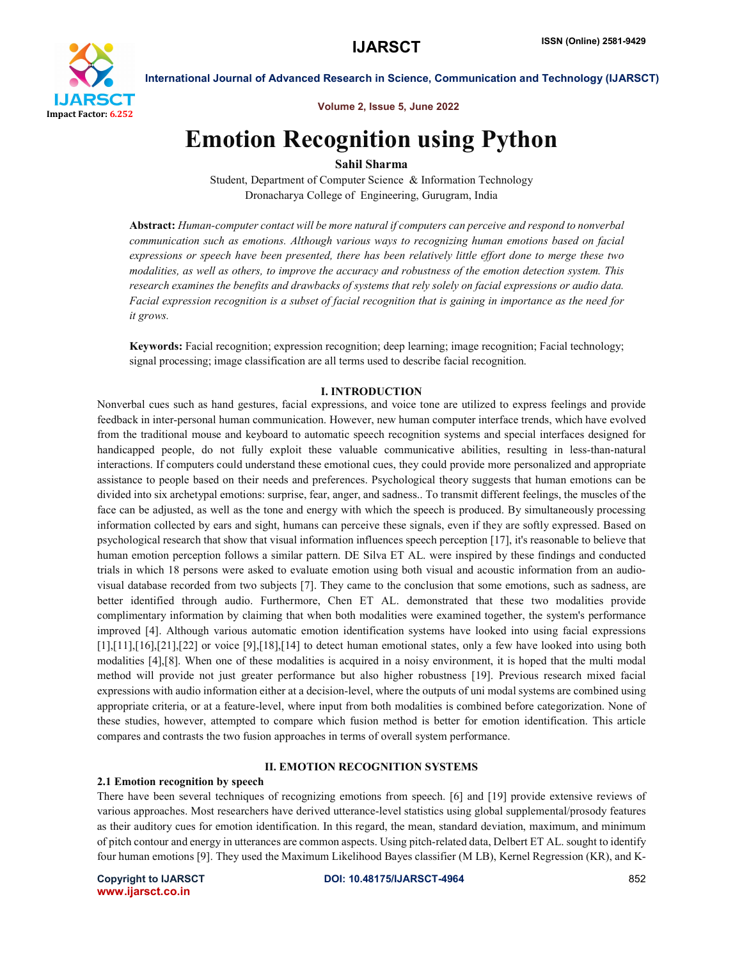

Volume 2, Issue 5, June 2022

# Emotion Recognition using Python

Sahil Sharma

Student, Department of Computer Science & Information Technology Dronacharya College of Engineering, Gurugram, India

Abstract: *Human-computer contact will be more natural if computers can perceive and respond to nonverbal communication such as emotions. Although various ways to recognizing human emotions based on facial expressions or speech have been presented, there has been relatively little effort done to merge these two modalities, as well as others, to improve the accuracy and robustness of the emotion detection system. This research examines the benefits and drawbacks of systems that rely solely on facial expressions or audio data. Facial expression recognition is a subset of facial recognition that is gaining in importance as the need for it grows.*

Keywords: Facial recognition; expression recognition; deep learning; image recognition; Facial technology; signal processing; image classification are all terms used to describe facial recognition.

#### I. INTRODUCTION

Nonverbal cues such as hand gestures, facial expressions, and voice tone are utilized to express feelings and provide feedback in inter-personal human communication. However, new human computer interface trends, which have evolved from the traditional mouse and keyboard to automatic speech recognition systems and special interfaces designed for handicapped people, do not fully exploit these valuable communicative abilities, resulting in less-than-natural interactions. If computers could understand these emotional cues, they could provide more personalized and appropriate assistance to people based on their needs and preferences. Psychological theory suggests that human emotions can be divided into six archetypal emotions: surprise, fear, anger, and sadness.. To transmit different feelings, the muscles of the face can be adjusted, as well as the tone and energy with which the speech is produced. By simultaneously processing information collected by ears and sight, humans can perceive these signals, even if they are softly expressed. Based on psychological research that show that visual information influences speech perception [17], it's reasonable to believe that human emotion perception follows a similar pattern. DE Silva ET AL. were inspired by these findings and conducted trials in which 18 persons were asked to evaluate emotion using both visual and acoustic information from an audiovisual database recorded from two subjects [7]. They came to the conclusion that some emotions, such as sadness, are better identified through audio. Furthermore, Chen ET AL. demonstrated that these two modalities provide complimentary information by claiming that when both modalities were examined together, the system's performance improved [4]. Although various automatic emotion identification systems have looked into using facial expressions  $[1],[11],[16],[21],[22]$  or voice  $[9],[18],[14]$  to detect human emotional states, only a few have looked into using both modalities [4],[8]. When one of these modalities is acquired in a noisy environment, it is hoped that the multi modal method will provide not just greater performance but also higher robustness [19]. Previous research mixed facial expressions with audio information either at a decision-level, where the outputs of uni modal systems are combined using appropriate criteria, or at a feature-level, where input from both modalities is combined before categorization. None of these studies, however, attempted to compare which fusion method is better for emotion identification. This article compares and contrasts the two fusion approaches in terms of overall system performance.

### II. EMOTION RECOGNITION SYSTEMS

#### 2.1 Emotion recognition by speech

There have been several techniques of recognizing emotions from speech. [6] and [19] provide extensive reviews of various approaches. Most researchers have derived utterance-level statistics using global supplemental/prosody features as their auditory cues for emotion identification. In this regard, the mean, standard deviation, maximum, and minimum of pitch contour and energy in utterances are common aspects. Using pitch-related data, Delbert ET AL. sought to identify four human emotions [9]. They used the Maximum Likelihood Bayes classifier (M LB), Kernel Regression (KR), and K-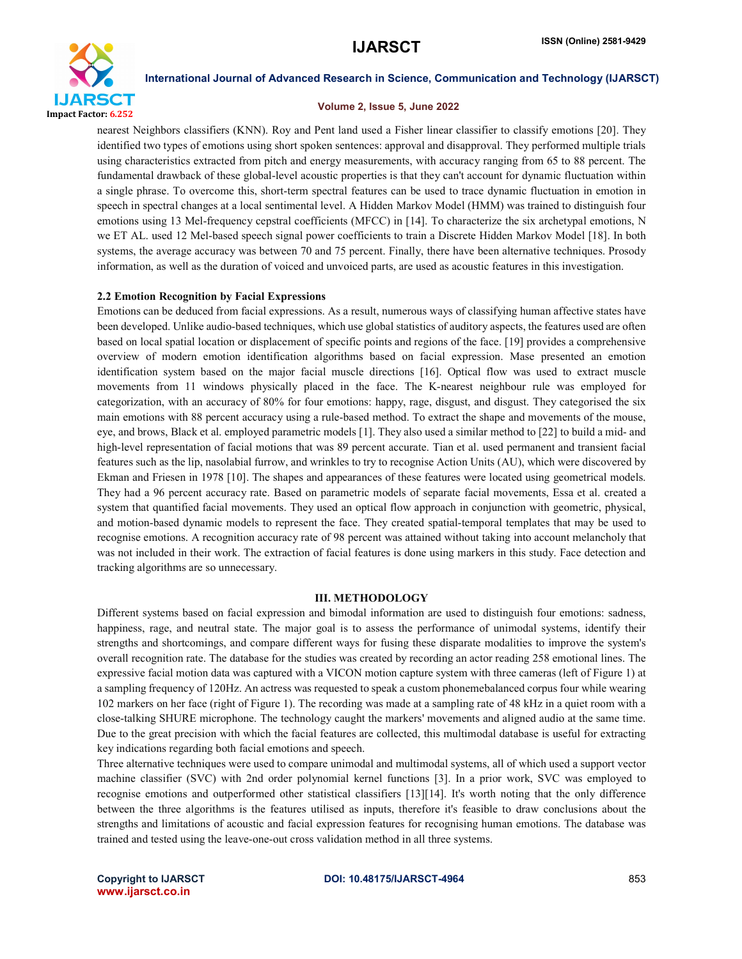

#### Volume 2, Issue 5, June 2022

nearest Neighbors classifiers (KNN). Roy and Pent land used a Fisher linear classifier to classify emotions [20]. They identified two types of emotions using short spoken sentences: approval and disapproval. They performed multiple trials using characteristics extracted from pitch and energy measurements, with accuracy ranging from 65 to 88 percent. The fundamental drawback of these global-level acoustic properties is that they can't account for dynamic fluctuation within a single phrase. To overcome this, short-term spectral features can be used to trace dynamic fluctuation in emotion in speech in spectral changes at a local sentimental level. A Hidden Markov Model (HMM) was trained to distinguish four emotions using 13 Mel-frequency cepstral coefficients (MFCC) in [14]. To characterize the six archetypal emotions, N we ET AL. used 12 Mel-based speech signal power coefficients to train a Discrete Hidden Markov Model [18]. In both systems, the average accuracy was between 70 and 75 percent. Finally, there have been alternative techniques. Prosody information, as well as the duration of voiced and unvoiced parts, are used as acoustic features in this investigation.

#### 2.2 Emotion Recognition by Facial Expressions

Emotions can be deduced from facial expressions. As a result, numerous ways of classifying human affective states have been developed. Unlike audio-based techniques, which use global statistics of auditory aspects, the features used are often based on local spatial location or displacement of specific points and regions of the face. [19] provides a comprehensive overview of modern emotion identification algorithms based on facial expression. Mase presented an emotion identification system based on the major facial muscle directions [16]. Optical flow was used to extract muscle movements from 11 windows physically placed in the face. The K-nearest neighbour rule was employed for categorization, with an accuracy of 80% for four emotions: happy, rage, disgust, and disgust. They categorised the six main emotions with 88 percent accuracy using a rule-based method. To extract the shape and movements of the mouse, eye, and brows, Black et al. employed parametric models [1]. They also used a similar method to [22] to build a mid- and high-level representation of facial motions that was 89 percent accurate. Tian et al. used permanent and transient facial features such as the lip, nasolabial furrow, and wrinkles to try to recognise Action Units (AU), which were discovered by Ekman and Friesen in 1978 [10]. The shapes and appearances of these features were located using geometrical models. They had a 96 percent accuracy rate. Based on parametric models of separate facial movements, Essa et al. created a system that quantified facial movements. They used an optical flow approach in conjunction with geometric, physical, and motion-based dynamic models to represent the face. They created spatial-temporal templates that may be used to recognise emotions. A recognition accuracy rate of 98 percent was attained without taking into account melancholy that was not included in their work. The extraction of facial features is done using markers in this study. Face detection and tracking algorithms are so unnecessary.

### III. METHODOLOGY

Different systems based on facial expression and bimodal information are used to distinguish four emotions: sadness, happiness, rage, and neutral state. The major goal is to assess the performance of unimodal systems, identify their strengths and shortcomings, and compare different ways for fusing these disparate modalities to improve the system's overall recognition rate. The database for the studies was created by recording an actor reading 258 emotional lines. The expressive facial motion data was captured with a VICON motion capture system with three cameras (left of Figure 1) at a sampling frequency of 120Hz. An actress was requested to speak a custom phonemebalanced corpus four while wearing 102 markers on her face (right of Figure 1). The recording was made at a sampling rate of 48 kHz in a quiet room with a close-talking SHURE microphone. The technology caught the markers' movements and aligned audio at the same time. Due to the great precision with which the facial features are collected, this multimodal database is useful for extracting key indications regarding both facial emotions and speech.

Three alternative techniques were used to compare unimodal and multimodal systems, all of which used a support vector machine classifier (SVC) with 2nd order polynomial kernel functions [3]. In a prior work, SVC was employed to recognise emotions and outperformed other statistical classifiers [13][14]. It's worth noting that the only difference between the three algorithms is the features utilised as inputs, therefore it's feasible to draw conclusions about the strengths and limitations of acoustic and facial expression features for recognising human emotions. The database was trained and tested using the leave-one-out cross validation method in all three systems.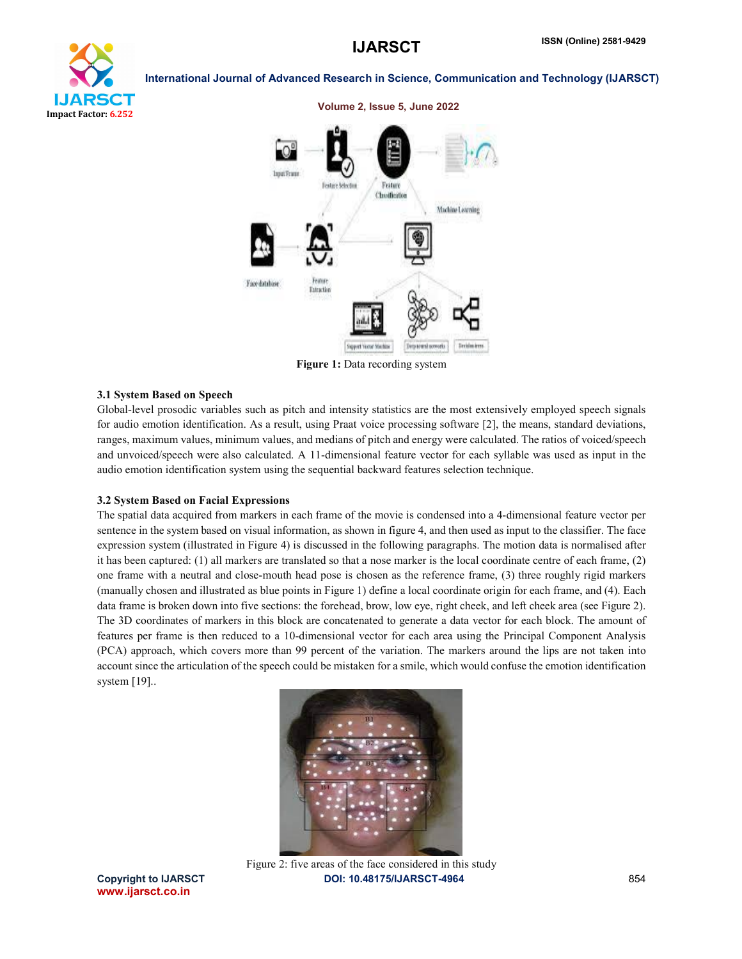## **IJARSCT** ISSN (Online) 2581-9429



#### International Journal of Advanced Research in Science, Communication and Technology (IJARSCT)



Figure 1: Data recording system

#### 3.1 System Based on Speech

Global-level prosodic variables such as pitch and intensity statistics are the most extensively employed speech signals for audio emotion identification. As a result, using Praat voice processing software [2], the means, standard deviations, ranges, maximum values, minimum values, and medians of pitch and energy were calculated. The ratios of voiced/speech and unvoiced/speech were also calculated. A 11-dimensional feature vector for each syllable was used as input in the audio emotion identification system using the sequential backward features selection technique.

#### 3.2 System Based on Facial Expressions

The spatial data acquired from markers in each frame of the movie is condensed into a 4-dimensional feature vector per sentence in the system based on visual information, as shown in figure 4, and then used as input to the classifier. The face expression system (illustrated in Figure 4) is discussed in the following paragraphs. The motion data is normalised after it has been captured: (1) all markers are translated so that a nose marker is the local coordinate centre of each frame, (2) one frame with a neutral and close-mouth head pose is chosen as the reference frame, (3) three roughly rigid markers (manually chosen and illustrated as blue points in Figure 1) define a local coordinate origin for each frame, and (4). Each data frame is broken down into five sections: the forehead, brow, low eye, right cheek, and left cheek area (see Figure 2). The 3D coordinates of markers in this block are concatenated to generate a data vector for each block. The amount of features per frame is then reduced to a 10-dimensional vector for each area using the Principal Component Analysis (PCA) approach, which covers more than 99 percent of the variation. The markers around the lips are not taken into account since the articulation of the speech could be mistaken for a smile, which would confuse the emotion identification system [19]..



www.ijarsct.co.in

Copyright to IJARSCT DOI: 10.48175/IJARSCT-4964 854 Figure 2: five areas of the face considered in this study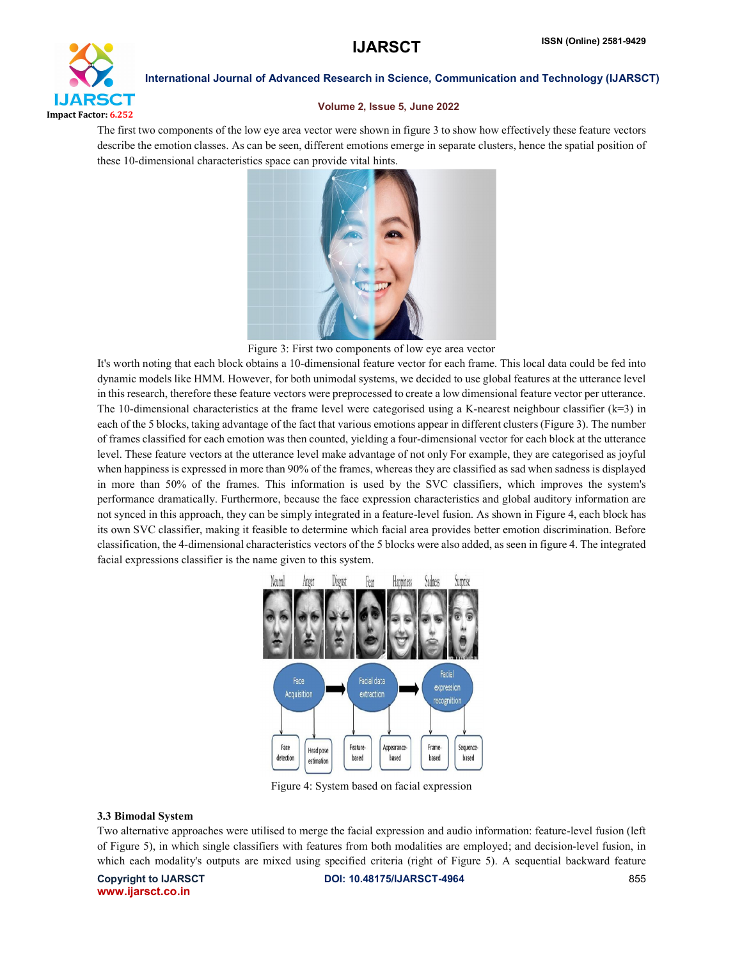

#### Volume 2, Issue 5, June 2022

The first two components of the low eye area vector were shown in figure 3 to show how effectively these feature vectors describe the emotion classes. As can be seen, different emotions emerge in separate clusters, hence the spatial position of these 10-dimensional characteristics space can provide vital hints.



Figure 3: First two components of low eye area vector

It's worth noting that each block obtains a 10-dimensional feature vector for each frame. This local data could be fed into dynamic models like HMM. However, for both unimodal systems, we decided to use global features at the utterance level in this research, therefore these feature vectors were preprocessed to create a low dimensional feature vector per utterance. The 10-dimensional characteristics at the frame level were categorised using a K-nearest neighbour classifier  $(k=3)$  in each of the 5 blocks, taking advantage of the fact that various emotions appear in different clusters (Figure 3). The number of frames classified for each emotion was then counted, yielding a four-dimensional vector for each block at the utterance level. These feature vectors at the utterance level make advantage of not only For example, they are categorised as joyful when happiness is expressed in more than 90% of the frames, whereas they are classified as sad when sadness is displayed in more than 50% of the frames. This information is used by the SVC classifiers, which improves the system's performance dramatically. Furthermore, because the face expression characteristics and global auditory information are not synced in this approach, they can be simply integrated in a feature-level fusion. As shown in Figure 4, each block has its own SVC classifier, making it feasible to determine which facial area provides better emotion discrimination. Before classification, the 4-dimensional characteristics vectors of the 5 blocks were also added, as seen in figure 4. The integrated facial expressions classifier is the name given to this system.



Figure 4: System based on facial expression

### 3.3 Bimodal System

Two alternative approaches were utilised to merge the facial expression and audio information: feature-level fusion (left of Figure 5), in which single classifiers with features from both modalities are employed; and decision-level fusion, in which each modality's outputs are mixed using specified criteria (right of Figure 5). A sequential backward feature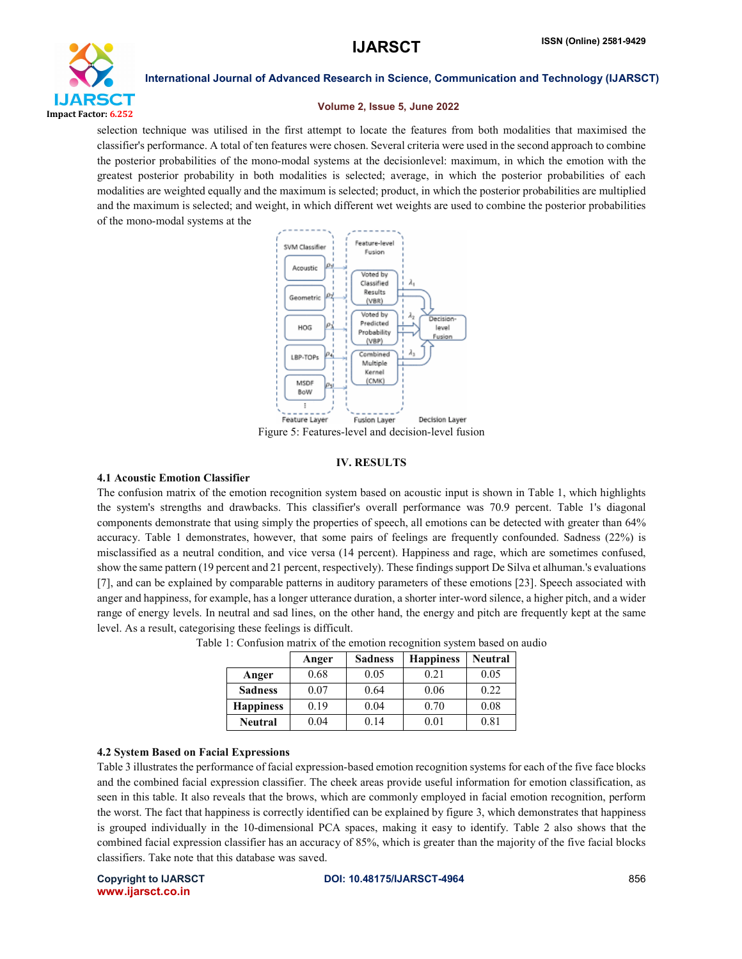

#### Volume 2, Issue 5, June 2022

selection technique was utilised in the first attempt to locate the features from both modalities that maximised the classifier's performance. A total of ten features were chosen. Several criteria were used in the second approach to combine the posterior probabilities of the mono-modal systems at the decisionlevel: maximum, in which the emotion with the greatest posterior probability in both modalities is selected; average, in which the posterior probabilities of each modalities are weighted equally and the maximum is selected; product, in which the posterior probabilities are multiplied and the maximum is selected; and weight, in which different wet weights are used to combine the posterior probabilities of the mono-modal systems at the



Figure 5: Features-level and decision-level fusion

#### IV. RESULTS

#### 4.1 Acoustic Emotion Classifier

The confusion matrix of the emotion recognition system based on acoustic input is shown in Table 1, which highlights the system's strengths and drawbacks. This classifier's overall performance was 70.9 percent. Table 1's diagonal components demonstrate that using simply the properties of speech, all emotions can be detected with greater than 64% accuracy. Table 1 demonstrates, however, that some pairs of feelings are frequently confounded. Sadness (22%) is misclassified as a neutral condition, and vice versa (14 percent). Happiness and rage, which are sometimes confused, show the same pattern (19 percent and 21 percent, respectively). These findings support De Silva et alhuman.'s evaluations [7], and can be explained by comparable patterns in auditory parameters of these emotions [23]. Speech associated with anger and happiness, for example, has a longer utterance duration, a shorter inter-word silence, a higher pitch, and a wider range of energy levels. In neutral and sad lines, on the other hand, the energy and pitch are frequently kept at the same level. As a result, categorising these feelings is difficult.

|                  | Anger | <b>Sadness</b> | <b>Happiness</b> | <b>Neutral</b> |
|------------------|-------|----------------|------------------|----------------|
| Anger            | 0.68  | 0.05           | 0.21             | 0.05           |
| <b>Sadness</b>   | 0.07  | 0.64           | 0.06             | 0.22           |
| <b>Happiness</b> | 0.19  | 0.04           | 0.70             | 0.08           |
| <b>Neutral</b>   | 0.04  | 0.14           | 0.01             | 0.81           |

|  |  |  | Table 1: Confusion matrix of the emotion recognition system based on audio |  |  |
|--|--|--|----------------------------------------------------------------------------|--|--|
|  |  |  |                                                                            |  |  |

#### 4.2 System Based on Facial Expressions

Table 3 illustrates the performance of facial expression-based emotion recognition systems for each of the five face blocks and the combined facial expression classifier. The cheek areas provide useful information for emotion classification, as seen in this table. It also reveals that the brows, which are commonly employed in facial emotion recognition, perform the worst. The fact that happiness is correctly identified can be explained by figure 3, which demonstrates that happiness is grouped individually in the 10-dimensional PCA spaces, making it easy to identify. Table 2 also shows that the combined facial expression classifier has an accuracy of 85%, which is greater than the majority of the five facial blocks classifiers. Take note that this database was saved.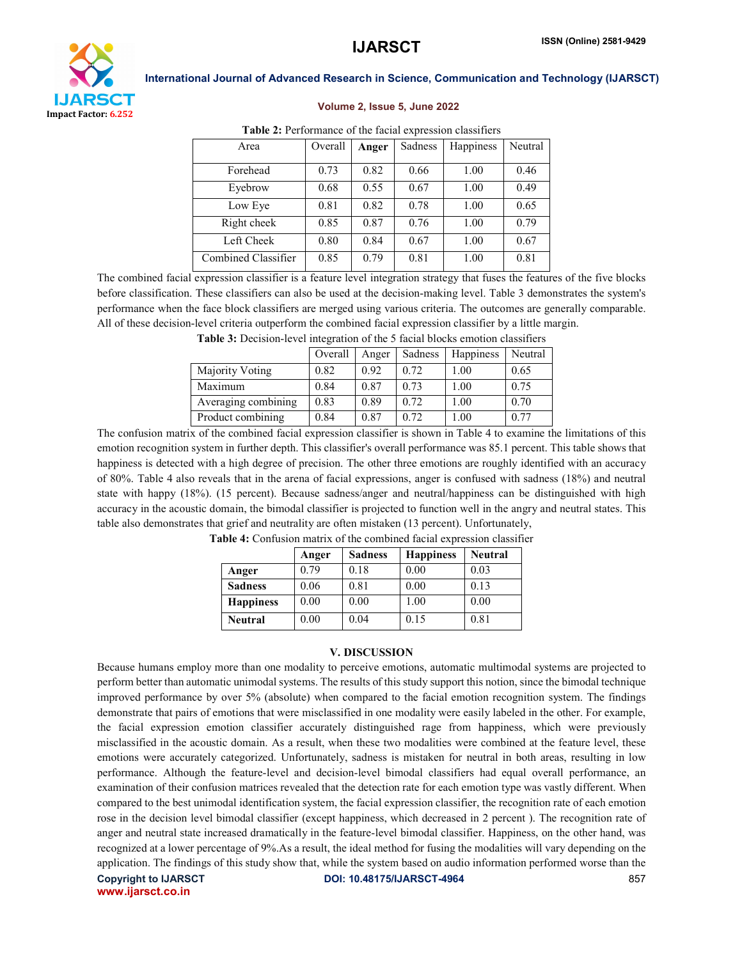

#### Volume 2, Issue 5, June 2022

| <b>Table 2.</b> I chromance of the facture expression classifiers |         |       |         |           |         |  |  |
|-------------------------------------------------------------------|---------|-------|---------|-----------|---------|--|--|
| Area                                                              | Overall | Anger | Sadness | Happiness | Neutral |  |  |
| Forehead                                                          | 0.73    | 0.82  | 0.66    | 1.00      | 0.46    |  |  |
| Eyebrow                                                           | 0.68    | 0.55  | 0.67    | 1.00      | 0.49    |  |  |
| Low Eye                                                           | 0.81    | 0.82  | 0.78    | 1.00      | 0.65    |  |  |
| Right cheek                                                       | 0.85    | 0.87  | 0.76    | 1.00      | 0.79    |  |  |
| Left Cheek                                                        | 0.80    | 0.84  | 0.67    | 1.00      | 0.67    |  |  |
| Combined Classifier                                               | 0.85    | 0.79  | 0.81    | 1.00      | 0.81    |  |  |

### Table 2: Performance of the facial expression classifiers

The combined facial expression classifier is a feature level integration strategy that fuses the features of the five blocks before classification. These classifiers can also be used at the decision-making level. Table 3 demonstrates the system's performance when the face block classifiers are merged using various criteria. The outcomes are generally comparable. All of these decision-level criteria outperform the combined facial expression classifier by a little margin.

| Table 3: Decision-level integration of the 5 facial blocks emotion classifiers |  |  |  |  |
|--------------------------------------------------------------------------------|--|--|--|--|
|--------------------------------------------------------------------------------|--|--|--|--|

|                        | Overall | Anger | Sadness | Happiness | Neutral |
|------------------------|---------|-------|---------|-----------|---------|
| <b>Majority Voting</b> | 0.82    | 0.92  | 0.72    | 1.00      | 0.65    |
| Maximum                | 0.84    | 0.87  | 0.73    | 1.00      | 0.75    |
| Averaging combining    | 0.83    | 0.89  | 0.72    | 1.00      | 0.70    |
| Product combining      | 0.84    | 0.87  | 0.72    | 1.00      | 0.77    |

The confusion matrix of the combined facial expression classifier is shown in Table 4 to examine the limitations of this emotion recognition system in further depth. This classifier's overall performance was 85.1 percent. This table shows that happiness is detected with a high degree of precision. The other three emotions are roughly identified with an accuracy of 80%. Table 4 also reveals that in the arena of facial expressions, anger is confused with sadness (18%) and neutral state with happy (18%). (15 percent). Because sadness/anger and neutral/happiness can be distinguished with high accuracy in the acoustic domain, the bimodal classifier is projected to function well in the angry and neutral states. This table also demonstrates that grief and neutrality are often mistaken (13 percent). Unfortunately,

|                  | Anger | <b>Sadness</b> | <b>Happiness</b> | <b>Neutral</b> |
|------------------|-------|----------------|------------------|----------------|
| Anger            | 0.79  | 0.18           | 0.00             | 0.03           |
| <b>Sadness</b>   | 0.06  | 0.81           | 0.00             | 0.13           |
| <b>Happiness</b> | 0.00  | 0.00           | 1.00             | 0.00           |
| <b>Neutral</b>   | 0.00  | 0.04           | 0.15             | 0.81           |

Table 4: Confusion matrix of the combined facial expression classifier

#### V. DISCUSSION

Because humans employ more than one modality to perceive emotions, automatic multimodal systems are projected to perform better than automatic unimodal systems. The results of this study support this notion, since the bimodal technique improved performance by over 5% (absolute) when compared to the facial emotion recognition system. The findings demonstrate that pairs of emotions that were misclassified in one modality were easily labeled in the other. For example, the facial expression emotion classifier accurately distinguished rage from happiness, which were previously misclassified in the acoustic domain. As a result, when these two modalities were combined at the feature level, these emotions were accurately categorized. Unfortunately, sadness is mistaken for neutral in both areas, resulting in low performance. Although the feature-level and decision-level bimodal classifiers had equal overall performance, an examination of their confusion matrices revealed that the detection rate for each emotion type was vastly different. When compared to the best unimodal identification system, the facial expression classifier, the recognition rate of each emotion rose in the decision level bimodal classifier (except happiness, which decreased in 2 percent ). The recognition rate of anger and neutral state increased dramatically in the feature-level bimodal classifier. Happiness, on the other hand, was recognized at a lower percentage of 9%.As a result, the ideal method for fusing the modalities will vary depending on the application. The findings of this study show that, while the system based on audio information performed worse than the

www.ijarsct.co.in

Copyright to IJARSCT **DOI: 10.48175/IJARSCT-4964** 857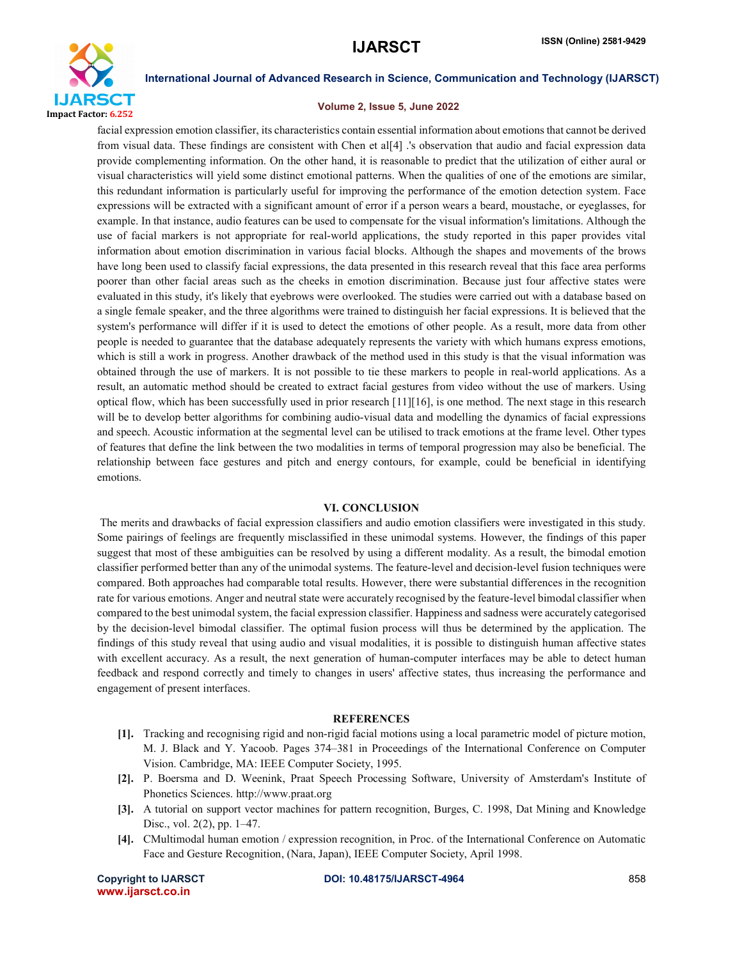

#### Volume 2, Issue 5, June 2022

facial expression emotion classifier, its characteristics contain essential information about emotions that cannot be derived from visual data. These findings are consistent with Chen et al[4] .'s observation that audio and facial expression data provide complementing information. On the other hand, it is reasonable to predict that the utilization of either aural or visual characteristics will yield some distinct emotional patterns. When the qualities of one of the emotions are similar, this redundant information is particularly useful for improving the performance of the emotion detection system. Face expressions will be extracted with a significant amount of error if a person wears a beard, moustache, or eyeglasses, for example. In that instance, audio features can be used to compensate for the visual information's limitations. Although the use of facial markers is not appropriate for real-world applications, the study reported in this paper provides vital information about emotion discrimination in various facial blocks. Although the shapes and movements of the brows have long been used to classify facial expressions, the data presented in this research reveal that this face area performs poorer than other facial areas such as the cheeks in emotion discrimination. Because just four affective states were evaluated in this study, it's likely that eyebrows were overlooked. The studies were carried out with a database based on a single female speaker, and the three algorithms were trained to distinguish her facial expressions. It is believed that the system's performance will differ if it is used to detect the emotions of other people. As a result, more data from other people is needed to guarantee that the database adequately represents the variety with which humans express emotions, which is still a work in progress. Another drawback of the method used in this study is that the visual information was obtained through the use of markers. It is not possible to tie these markers to people in real-world applications. As a result, an automatic method should be created to extract facial gestures from video without the use of markers. Using optical flow, which has been successfully used in prior research [11][16], is one method. The next stage in this research will be to develop better algorithms for combining audio-visual data and modelling the dynamics of facial expressions and speech. Acoustic information at the segmental level can be utilised to track emotions at the frame level. Other types of features that define the link between the two modalities in terms of temporal progression may also be beneficial. The relationship between face gestures and pitch and energy contours, for example, could be beneficial in identifying emotions.

#### VI. CONCLUSION

The merits and drawbacks of facial expression classifiers and audio emotion classifiers were investigated in this study. Some pairings of feelings are frequently misclassified in these unimodal systems. However, the findings of this paper suggest that most of these ambiguities can be resolved by using a different modality. As a result, the bimodal emotion classifier performed better than any of the unimodal systems. The feature-level and decision-level fusion techniques were compared. Both approaches had comparable total results. However, there were substantial differences in the recognition rate for various emotions. Anger and neutral state were accurately recognised by the feature-level bimodal classifier when compared to the best unimodal system, the facial expression classifier. Happiness and sadness were accurately categorised by the decision-level bimodal classifier. The optimal fusion process will thus be determined by the application. The findings of this study reveal that using audio and visual modalities, it is possible to distinguish human affective states with excellent accuracy. As a result, the next generation of human-computer interfaces may be able to detect human feedback and respond correctly and timely to changes in users' affective states, thus increasing the performance and engagement of present interfaces.

#### **REFERENCES**

- [1]. Tracking and recognising rigid and non-rigid facial motions using a local parametric model of picture motion, M. J. Black and Y. Yacoob. Pages 374–381 in Proceedings of the International Conference on Computer Vision. Cambridge, MA: IEEE Computer Society, 1995.
- [2]. P. Boersma and D. Weenink, Praat Speech Processing Software, University of Amsterdam's Institute of Phonetics Sciences. http://www.praat.org
- [3]. A tutorial on support vector machines for pattern recognition, Burges, C. 1998, Dat Mining and Knowledge Disc., vol. 2(2), pp. 1–47.
- [4]. CMultimodal human emotion / expression recognition, in Proc. of the International Conference on Automatic Face and Gesture Recognition, (Nara, Japan), IEEE Computer Society, April 1998.